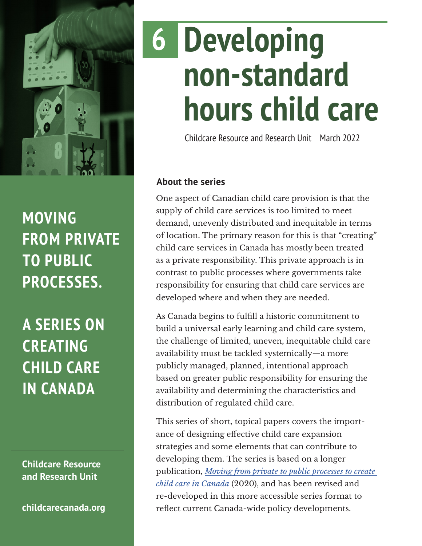

## **MOVING FROM PRIVATE TO PUBLIC PROCESSES.**

**A SERIES ON CREATING CHILD CARE IN CANADA**

**Childcare Resource and Research Unit**

**[childcarecanada.org](http://childcarecanada.org)**

# **Developing non-standard hours child care 6**

Childcare Resource and Research Unit March 2022

## **About the series**

One aspect of Canadian child care provision is that the supply of child care services is too limited to meet demand, unevenly distributed and inequitable in terms of location. The primary reason for this is that "creating" child care services in Canada has mostly been treated as a private responsibility. This private approach is in contrast to public processes where governments take responsibility for ensuring that child care services are developed where and when they are needed.

As Canada begins to fulfill a historic commitment to build a universal early learning and child care system, the challenge of limited, uneven, inequitable child care availability must be tackled systemically—a more publicly managed, planned, intentional approach based on greater public responsibility for ensuring the availability and determining the characteristics and distribution of regulated child care.

This series of short, topical papers covers the importance of designing effective child care expansion strategies and some elements that can contribute to developing them. The series is based on a longer publication, *[Moving from private to public processes to create](https://childcarecanada.org/publications/other-publications/20/12/moving-private-public-processes-create-child-care-canada)  [child care in Canada](https://childcarecanada.org/publications/other-publications/20/12/moving-private-public-processes-create-child-care-canada)* (2020), and has been revised and re-developed in this more accessible series format to reflect current Canada-wide policy developments.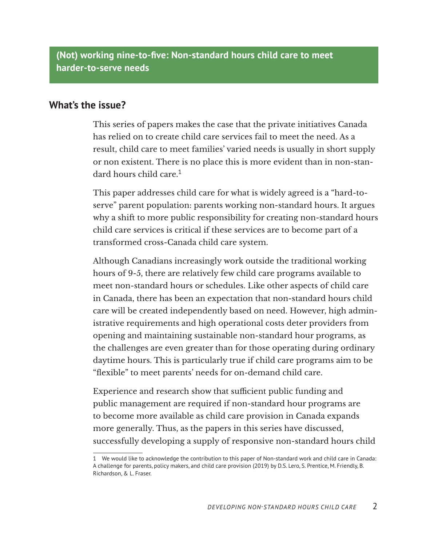**(Not) working nine-to-five: Non-standard hours child care to meet harder-to-serve needs**

#### **What's the issue?**

This series of papers makes the case that the private initiatives Canada has relied on to create child care services fail to meet the need. As a result, child care to meet families' varied needs is usually in short supply or non existent. There is no place this is more evident than in non-standard hours child care.<sup>1</sup>

This paper addresses child care for what is widely agreed is a "hard-toserve" parent population: parents working non-standard hours. It argues why a shift to more public responsibility for creating non-standard hours child care services is critical if these services are to become part of a transformed cross-Canada child care system.

Although Canadians increasingly work outside the traditional working hours of 9-5, there are relatively few child care programs available to meet non-standard hours or schedules. Like other aspects of child care in Canada, there has been an expectation that non-standard hours child care will be created independently based on need. However, high administrative requirements and high operational costs deter providers from opening and maintaining sustainable non-standard hour programs, as the challenges are even greater than for those operating during ordinary daytime hours. This is particularly true if child care programs aim to be "flexible" to meet parents' needs for on-demand child care.

Experience and research show that sufficient public funding and public management are required if non-standard hour programs are to become more available as child care provision in Canada expands more generally. Thus, as the papers in this series have discussed, successfully developing a supply of responsive non-standard hours child

<sup>1</sup> We would like to acknowledge the contribution to this paper of Non-standard work and child care in Canada: A challenge for parents, policy makers, and child care provision (2019) by D.S. Lero, S. Prentice, M. Friendly, B. Richardson, & L. Fraser.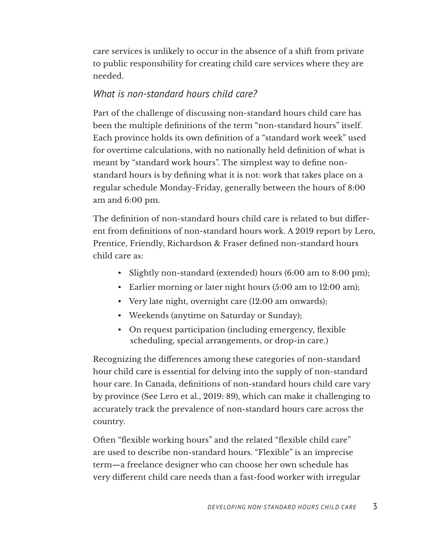care services is unlikely to occur in the absence of a shift from private to public responsibility for creating child care services where they are needed.

## *What is non-standard hours child care?*

Part of the challenge of discussing non-standard hours child care has been the multiple definitions of the term "non-standard hours" itself. Each province holds its own definition of a "standard work week" used for overtime calculations, with no nationally held definition of what is meant by "standard work hours". The simplest way to define nonstandard hours is by defining what it is not: work that takes place on a regular schedule Monday-Friday, generally between the hours of 8:00 am and 6:00 pm.

The definition of non-standard hours child care is related to but different from definitions of non-standard hours work. A 2019 report by Lero, Prentice, Friendly, Richardson & Fraser defined non-standard hours child care as:

- Slightly non-standard (extended) hours (6:00 am to 8:00 pm);
- Earlier morning or later night hours (5:00 am to 12:00 am);
- Very late night, overnight care (12:00 am onwards);
- Weekends (anytime on Saturday or Sunday);
- On request participation (including emergency, flexible scheduling, special arrangements, or drop-in care.)

Recognizing the differences among these categories of non-standard hour child care is essential for delving into the supply of non-standard hour care. In Canada, definitions of non-standard hours child care vary by province (See Lero et al., 2019: 89), which can make it challenging to accurately track the prevalence of non-standard hours care across the country.

Often "flexible working hours" and the related "flexible child care" are used to describe non-standard hours. "Flexible" is an imprecise term—a freelance designer who can choose her own schedule has very different child care needs than a fast-food worker with irregular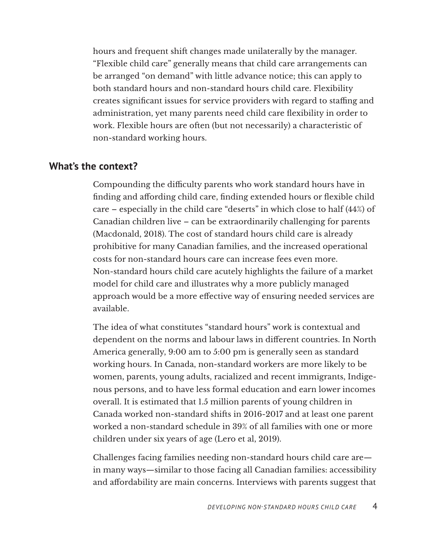hours and frequent shift changes made unilaterally by the manager. "Flexible child care" generally means that child care arrangements can be arranged "on demand" with little advance notice; this can apply to both standard hours and non-standard hours child care. Flexibility creates significant issues for service providers with regard to staffing and administration, yet many parents need child care flexibility in order to work. Flexible hours are often (but not necessarily) a characteristic of non-standard working hours.

#### **What's the context?**

Compounding the difficulty parents who work standard hours have in finding and affording child care, finding extended hours or flexible child care – especially in the child care "deserts" in which close to half (44%) of Canadian children live – can be extraordinarily challenging for parents (Macdonald, 2018). The cost of standard hours child care is already prohibitive for many Canadian families, and the increased operational costs for non-standard hours care can increase fees even more. Non-standard hours child care acutely highlights the failure of a market model for child care and illustrates why a more publicly managed approach would be a more effective way of ensuring needed services are available.

The idea of what constitutes "standard hours" work is contextual and dependent on the norms and labour laws in different countries. In North America generally, 9:00 am to 5:00 pm is generally seen as standard working hours. In Canada, non-standard workers are more likely to be women, parents, young adults, racialized and recent immigrants, Indigenous persons, and to have less formal education and earn lower incomes overall. It is estimated that 1.5 million parents of young children in Canada worked non-standard shifts in 2016-2017 and at least one parent worked a non-standard schedule in 39% of all families with one or more children under six years of age (Lero et al, 2019).

Challenges facing families needing non-standard hours child care are in many ways—similar to those facing all Canadian families: accessibility and affordability are main concerns. Interviews with parents suggest that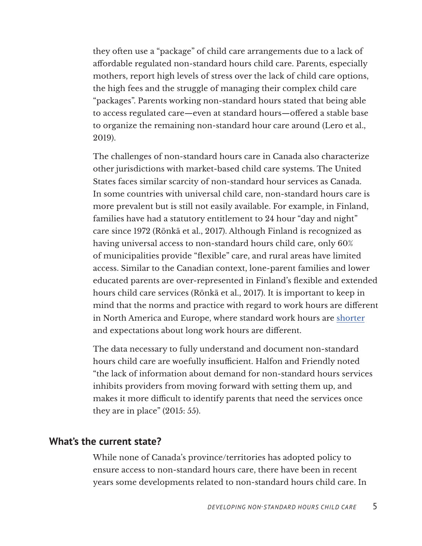they often use a "package" of child care arrangements due to a lack of affordable regulated non-standard hours child care. Parents, especially mothers, report high levels of stress over the lack of child care options, the high fees and the struggle of managing their complex child care "packages". Parents working non-standard hours stated that being able to access regulated care—even at standard hours—offered a stable base to organize the remaining non-standard hour care around (Lero et al., 2019).

The challenges of non-standard hours care in Canada also characterize other jurisdictions with market-based child care systems. The United States faces similar scarcity of non-standard hour services as Canada. In some countries with universal child care, non-standard hours care is more prevalent but is still not easily available. For example, in Finland, families have had a statutory entitlement to 24 hour "day and night" care since 1972 (Rönkä et al., 2017). Although Finland is recognized as having universal access to non-standard hours child care, only 60% of municipalities provide "flexible" care, and rural areas have limited access. Similar to the Canadian context, lone-parent families and lower educated parents are over-represented in Finland's flexible and extended hours child care services (Rönkä et al., 2017). It is important to keep in mind that the norms and practice with regard to work hours are different in North America and Europe, where standard work hours are [shorter](https://clockify.me/working-hours) and expectations about long work hours are different.

The data necessary to fully understand and document non-standard hours child care are woefully insufficient. Halfon and Friendly noted "the lack of information about demand for non-standard hours services inhibits providers from moving forward with setting them up, and makes it more difficult to identify parents that need the services once they are in place" (2015: 55).

## **What's the current state?**

While none of Canada's province/territories has adopted policy to ensure access to non-standard hours care, there have been in recent years some developments related to non-standard hours child care. In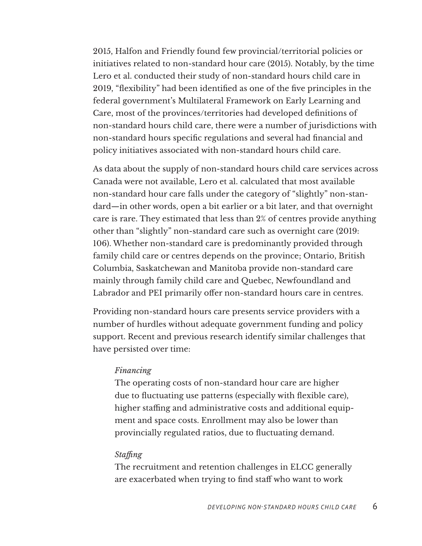2015, Halfon and Friendly found few provincial/territorial policies or initiatives related to non-standard hour care (2015). Notably, by the time Lero et al. conducted their study of non-standard hours child care in 2019, "flexibility" had been identified as one of the five principles in the federal government's Multilateral Framework on Early Learning and Care, most of the provinces/territories had developed definitions of non-standard hours child care, there were a number of jurisdictions with non-standard hours specific regulations and several had financial and policy initiatives associated with non-standard hours child care.

As data about the supply of non-standard hours child care services across Canada were not available, Lero et al. calculated that most available non-standard hour care falls under the category of "slightly" non-standard—in other words, open a bit earlier or a bit later, and that overnight care is rare. They estimated that less than 2% of centres provide anything other than "slightly" non-standard care such as overnight care (2019: 106). Whether non-standard care is predominantly provided through family child care or centres depends on the province; Ontario, British Columbia, Saskatchewan and Manitoba provide non-standard care mainly through family child care and Quebec, Newfoundland and Labrador and PEI primarily offer non-standard hours care in centres.

Providing non-standard hours care presents service providers with a number of hurdles without adequate government funding and policy support. Recent and previous research identify similar challenges that have persisted over time:

#### *Financing*

The operating costs of non-standard hour care are higher due to fluctuating use patterns (especially with flexible care), higher staffing and administrative costs and additional equipment and space costs. Enrollment may also be lower than provincially regulated ratios, due to fluctuating demand.

#### *Staffing*

The recruitment and retention challenges in ELCC generally are exacerbated when trying to find staff who want to work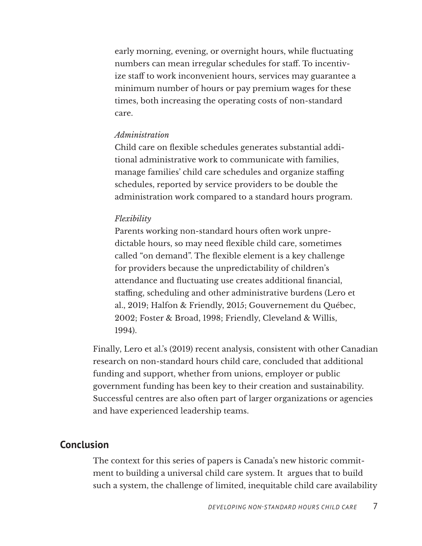early morning, evening, or overnight hours, while fluctuating numbers can mean irregular schedules for staff. To incentivize staff to work inconvenient hours, services may guarantee a minimum number of hours or pay premium wages for these times, both increasing the operating costs of non-standard care.

#### *Administration*

Child care on flexible schedules generates substantial additional administrative work to communicate with families, manage families' child care schedules and organize staffing schedules, reported by service providers to be double the administration work compared to a standard hours program.

#### *Flexibility*

Parents working non-standard hours often work unpredictable hours, so may need flexible child care, sometimes called "on demand". The flexible element is a key challenge for providers because the unpredictability of children's attendance and fluctuating use creates additional financial, staffing, scheduling and other administrative burdens (Lero et al., 2019; Halfon & Friendly, 2015; Gouvernement du Québec, 2002; Foster & Broad, 1998; Friendly, Cleveland & Willis, 1994).

Finally, Lero et al.'s (2019) recent analysis, consistent with other Canadian research on non-standard hours child care, concluded that additional funding and support, whether from unions, employer or public government funding has been key to their creation and sustainability. Successful centres are also often part of larger organizations or agencies and have experienced leadership teams.

## **Conclusion**

The context for this series of papers is Canada's new historic commitment to building a universal child care system. It argues that to build such a system, the challenge of limited, inequitable child care availability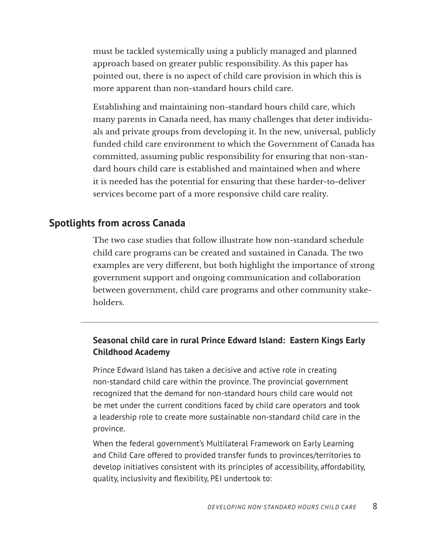must be tackled systemically using a publicly managed and planned approach based on greater public responsibility. As this paper has pointed out, there is no aspect of child care provision in which this is more apparent than non-standard hours child care.

Establishing and maintaining non-standard hours child care, which many parents in Canada need, has many challenges that deter individuals and private groups from developing it. In the new, universal, publicly funded child care environment to which the Government of Canada has committed, assuming public responsibility for ensuring that non-standard hours child care is established and maintained when and where it is needed has the potential for ensuring that these harder-to-deliver services become part of a more responsive child care reality.

## **Spotlights from across Canada**

The two case studies that follow illustrate how non-standard schedule child care programs can be created and sustained in Canada. The two examples are very different, but both highlight the importance of strong government support and ongoing communication and collaboration between government, child care programs and other community stakeholders.

## **Seasonal child care in rural Prince Edward Island: Eastern Kings Early Childhood Academy**

Prince Edward Island has taken a decisive and active role in creating non-standard child care within the province. The provincial government recognized that the demand for non-standard hours child care would not be met under the current conditions faced by child care operators and took a leadership role to create more sustainable non-standard child care in the province.

When the federal government's Multilateral Framework on Early Learning and Child Care offered to provided transfer funds to provinces/territories to develop initiatives consistent with its principles of accessibility, affordability, quality, inclusivity and flexibility, PEI undertook to: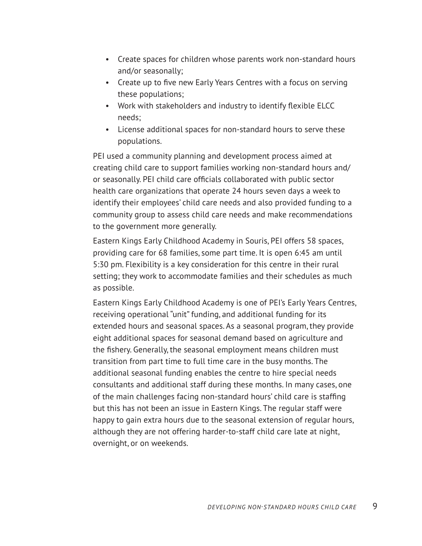- Create spaces for children whose parents work non-standard hours and/or seasonally;
- Create up to five new Early Years Centres with a focus on serving these populations;
- Work with stakeholders and industry to identify flexible ELCC needs;
- License additional spaces for non-standard hours to serve these populations.

PEI used a community planning and development process aimed at creating child care to support families working non-standard hours and/ or seasonally. PEI child care officials collaborated with public sector health care organizations that operate 24 hours seven days a week to identify their employees' child care needs and also provided funding to a community group to assess child care needs and make recommendations to the government more generally.

Eastern Kings Early Childhood Academy in Souris, PEI offers 58 spaces, providing care for 68 families, some part time. It is open 6:45 am until 5:30 pm. Flexibility is a key consideration for this centre in their rural setting; they work to accommodate families and their schedules as much as possible.

Eastern Kings Early Childhood Academy is one of PEI's Early Years Centres, receiving operational "unit" funding, and additional funding for its extended hours and seasonal spaces. As a seasonal program, they provide eight additional spaces for seasonal demand based on agriculture and the fishery. Generally, the seasonal employment means children must transition from part time to full time care in the busy months. The additional seasonal funding enables the centre to hire special needs consultants and additional staff during these months. In many cases, one of the main challenges facing non-standard hours' child care is staffing but this has not been an issue in Eastern Kings. The regular staff were happy to gain extra hours due to the seasonal extension of regular hours, although they are not offering harder-to-staff child care late at night, overnight, or on weekends.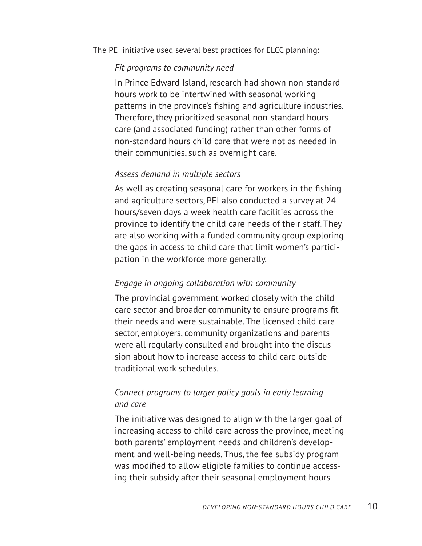The PEI initiative used several best practices for ELCC planning:

#### *Fit programs to community need*

In Prince Edward Island, research had shown non-standard hours work to be intertwined with seasonal working patterns in the province's fishing and agriculture industries. Therefore, they prioritized seasonal non-standard hours care (and associated funding) rather than other forms of non-standard hours child care that were not as needed in their communities, such as overnight care.

## *Assess demand in multiple sectors*

As well as creating seasonal care for workers in the fishing and agriculture sectors, PEI also conducted a survey at 24 hours/seven days a week health care facilities across the province to identify the child care needs of their staff. They are also working with a funded community group exploring the gaps in access to child care that limit women's participation in the workforce more generally.

## *Engage in ongoing collaboration with community*

The provincial government worked closely with the child care sector and broader community to ensure programs fit their needs and were sustainable. The licensed child care sector, employers, community organizations and parents were all regularly consulted and brought into the discussion about how to increase access to child care outside traditional work schedules.

## *Connect programs to larger policy goals in early learning and care*

The initiative was designed to align with the larger goal of increasing access to child care across the province, meeting both parents' employment needs and children's development and well-being needs. Thus, the fee subsidy program was modified to allow eligible families to continue accessing their subsidy after their seasonal employment hours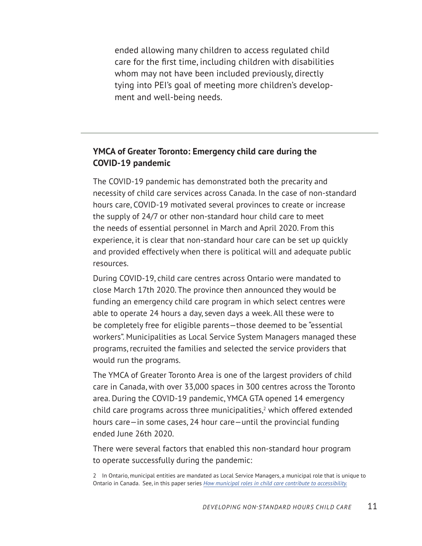ended allowing many children to access regulated child care for the first time, including children with disabilities whom may not have been included previously, directly tying into PEI's goal of meeting more children's development and well-being needs.

## **YMCA of Greater Toronto: Emergency child care during the COVID-19 pandemic**

The COVID-19 pandemic has demonstrated both the precarity and necessity of child care services across Canada. In the case of non-standard hours care, COVID-19 motivated several provinces to create or increase the supply of 24/7 or other non-standard hour child care to meet the needs of essential personnel in March and April 2020. From this experience, it is clear that non-standard hour care can be set up quickly and provided effectively when there is political will and adequate public resources.

During COVID-19, child care centres across Ontario were mandated to close March 17th 2020. The province then announced they would be funding an emergency child care program in which select centres were able to operate 24 hours a day, seven days a week. All these were to be completely free for eligible parents—those deemed to be "essential workers". Municipalities as Local Service System Managers managed these programs, recruited the families and selected the service providers that would run the programs.

The YMCA of Greater Toronto Area is one of the largest providers of child care in Canada, with over 33,000 spaces in 300 centres across the Toronto area. During the COVID-19 pandemic, YMCA GTA opened 14 emergency child care programs across three municipalities, $2$  which offered extended hours care—in some cases, 24 hour care—until the provincial funding ended June 26th 2020.

There were several factors that enabled this non-standard hour program to operate successfully during the pandemic:

2 In Ontario, municipal entities are mandated as Local Service Managers, a municipal role that is unique to Ontario in Canada. See, in this paper series *[How municipal roles in child care contribute to accessibility.](https://childcarecanada.org/publications/other-publications/22/02/how-municipal-roles-child-care-contribute-accessibility)*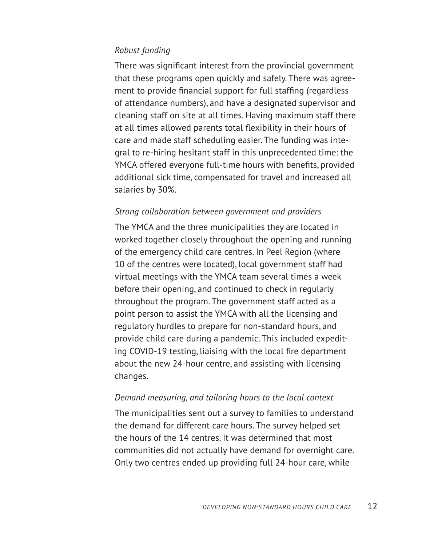## *Robust funding*

There was significant interest from the provincial government that these programs open quickly and safely. There was agreement to provide financial support for full staffing (regardless of attendance numbers), and have a designated supervisor and cleaning staff on site at all times. Having maximum staff there at all times allowed parents total flexibility in their hours of care and made staff scheduling easier. The funding was integral to re-hiring hesitant staff in this unprecedented time: the YMCA offered everyone full-time hours with benefits, provided additional sick time, compensated for travel and increased all salaries by 30%.

#### *Strong collaboration between government and providers*

The YMCA and the three municipalities they are located in worked together closely throughout the opening and running of the emergency child care centres. In Peel Region (where 10 of the centres were located), local government staff had virtual meetings with the YMCA team several times a week before their opening, and continued to check in regularly throughout the program. The government staff acted as a point person to assist the YMCA with all the licensing and regulatory hurdles to prepare for non-standard hours, and provide child care during a pandemic. This included expediting COVID-19 testing, liaising with the local fire department about the new 24-hour centre, and assisting with licensing changes.

#### *Demand measuring, and tailoring hours to the local context*

The municipalities sent out a survey to families to understand the demand for different care hours. The survey helped set the hours of the 14 centres. It was determined that most communities did not actually have demand for overnight care. Only two centres ended up providing full 24-hour care, while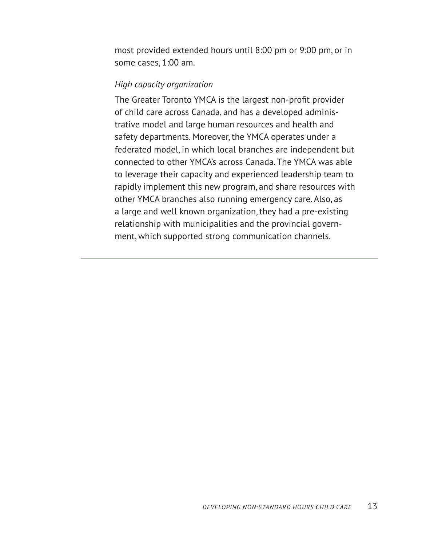most provided extended hours until 8:00 pm or 9:00 pm, or in some cases, 1:00 am.

## *High capacity organization*

The Greater Toronto YMCA is the largest non-profit provider of child care across Canada, and has a developed administrative model and large human resources and health and safety departments. Moreover, the YMCA operates under a federated model, in which local branches are independent but connected to other YMCA's across Canada. The YMCA was able to leverage their capacity and experienced leadership team to rapidly implement this new program, and share resources with other YMCA branches also running emergency care. Also, as a large and well known organization, they had a pre-existing relationship with municipalities and the provincial government, which supported strong communication channels.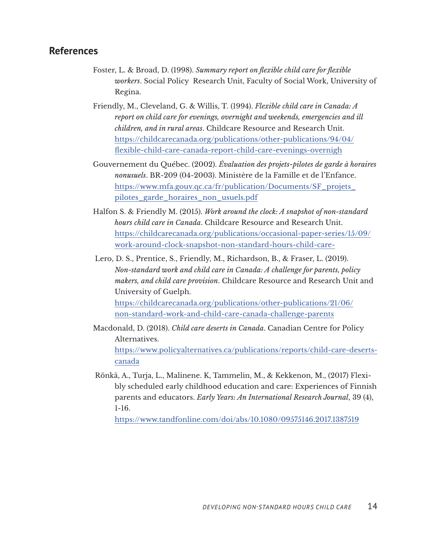## **References**

- Foster, L. & Broad, D. (1998). *Summary report on flexible child care for flexible workers*. Social Policy Research Unit, Faculty of Social Work, University of Regina.
- Friendly, M., Cleveland, G. & Willis, T. (1994). *Flexible child care in Canada: A report on child care for evenings, overnight and weekends, emergencies and ill children, and in rural areas*. Childcare Resource and Research Unit. [https://childcarecanada.org/publications/other-publications/94/04/](https://childcarecanada.org/publications/other-publications/94/04/flexible-child-care-canada-report-child-care-evenings-overnigh) [flexible-child-care-canada-report-child-care-evenings-overnigh](https://childcarecanada.org/publications/other-publications/94/04/flexible-child-care-canada-report-child-care-evenings-overnigh)
- Gouvernement du Québec. (2002). *Évaluation des projets-pilotes de garde à horaires nonusuels*. BR-209 (04-2003). Ministère de la Famille et de l'Enfance. [https://www.mfa.gouv.qc.ca/fr/publication/Documents/SF\\_projets\\_](https://www.mfa.gouv.qc.ca/fr/publication/Documents/SF_projets_pilotes_garde_horaires_non_usuels.pdf) [pilotes\\_garde\\_horaires\\_non\\_usuels.pdf](https://www.mfa.gouv.qc.ca/fr/publication/Documents/SF_projets_pilotes_garde_horaires_non_usuels.pdf)
- Halfon S. & Friendly M. (2015). *Work around the clock: A snapshot of non-standard hours child care in Canada*. Childcare Resource and Research Unit. [https://childcarecanada.org/publications/occasional-paper-series/15/09/](https://childcarecanada.org/publications/occasional-paper-series/15/09/work-around-clock-snapshot-non-standard-hours-child-care-) [work-around-clock-snapshot-non-standard-hours-child-care-](https://childcarecanada.org/publications/occasional-paper-series/15/09/work-around-clock-snapshot-non-standard-hours-child-care-)
- Lero, D. S., Prentice, S., Friendly, M., Richardson, B., & Fraser, L. (2019). *Non-standard work and child care in Canada: A challenge for parents, policy makers, and child care provision*. Childcare Resource and Research Unit and University of Guelph. [https://childcarecanada.org/publications/other-publications/21/06/](https://childcarecanada.org/publications/other-publications/21/06/non-standard-work-and-child-care-canada-challenge-parents) [non-standard-work-and-child-care-canada-challenge-parents](https://childcarecanada.org/publications/other-publications/21/06/non-standard-work-and-child-care-canada-challenge-parents)
- Macdonald, D. (2018). *Child care deserts in Canada*. Canadian Centre for Policy Alternatives. [https://www.policyalternatives.ca/publications/reports/child-care-deserts](https://www.policyalternatives.ca/publications/reports/child-care-deserts-canada)[canada](https://www.policyalternatives.ca/publications/reports/child-care-deserts-canada)
- Rönkä, A., Turja, L., Malinene. K, Tammelin, M., & Kekkenon, M., (2017) Flexibly scheduled early childhood education and care: Experiences of Finnish parents and educators. *Early Years: An International Research Journal*, 39 (4), 1-16.

<https://www.tandfonline.com/doi/abs/10.1080/09575146.2017.1387519>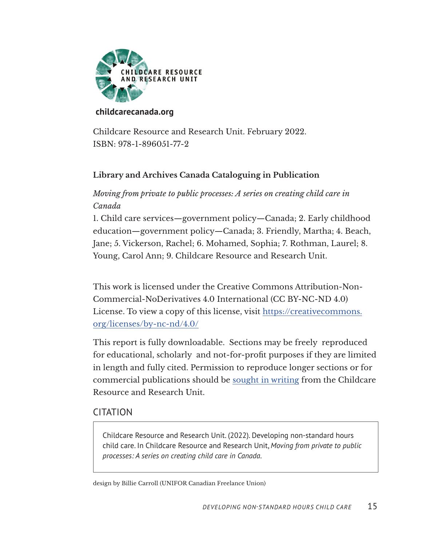

#### **[childcarecanada.org](https://childcarecanada.org)**

Childcare Resource and Research Unit. February 2022. ISBN: 978-1-896051-77-2

## **Library and Archives Canada Cataloguing in Publication**

## *Moving from private to public processes: A series on creating child care in Canada*

1. Child care services—government policy—Canada; 2. Early childhood education—government policy—Canada; 3. Friendly, Martha; 4. Beach, Jane; 5. Vickerson, Rachel; 6. Mohamed, Sophia; 7. Rothman, Laurel; 8. Young, Carol Ann; 9. Childcare Resource and Research Unit.

This work is licensed under the Creative Commons Attribution-Non-Commercial-NoDerivatives 4.0 International (CC BY-NC-ND 4.0) License. To view a copy of this license, visit https://creativecommons. org/licenses/by-nc-nd/4.0/

This report is fully downloadable. Sections may be freely reproduced for educational, scholarly and not-for-profit purposes if they are limited in length and fully cited. Permission to reproduce longer sections or for commercial publications should be sought in writing from the Childcare Resource and Research Unit.

## CITATION

Childcare Resource and Research Unit. (2022). Developing non-standard hours child care. In Childcare Resource and Research Unit, *Moving from private to public processes: A series on creating child care in Canada*.

design by Billie Carroll (UNIFOR Canadian Freelance Union)